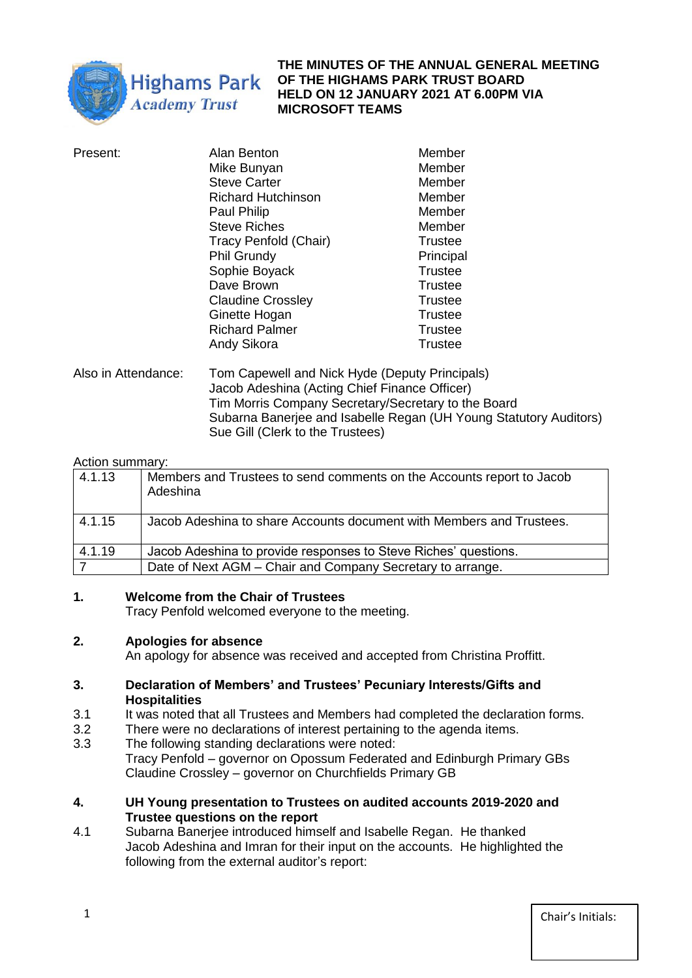

**THE MINUTES OF THE ANNUAL GENERAL MEETING OF THE HIGHAMS PARK TRUST BOARD HELD ON 12 JANUARY 2021 AT 6.00PM VIA MICROSOFT TEAMS** 

| Present:            | Alan Benton                                                                                      | Member         |
|---------------------|--------------------------------------------------------------------------------------------------|----------------|
|                     | Mike Bunyan                                                                                      | Member         |
|                     | <b>Steve Carter</b>                                                                              | Member         |
|                     | <b>Richard Hutchinson</b>                                                                        | Member         |
|                     | Paul Philip                                                                                      | Member         |
|                     | <b>Steve Riches</b>                                                                              | Member         |
|                     | Tracy Penfold (Chair)                                                                            | Trustee        |
|                     | <b>Phil Grundy</b>                                                                               | Principal      |
|                     | Sophie Boyack                                                                                    | <b>Trustee</b> |
|                     | Dave Brown                                                                                       | Trustee        |
|                     | <b>Claudine Crossley</b>                                                                         | Trustee        |
|                     | Ginette Hogan                                                                                    | Trustee        |
|                     | <b>Richard Palmer</b>                                                                            | <b>Trustee</b> |
|                     | Andy Sikora                                                                                      | Trustee        |
| Also in Attendance: | Tom Capewell and Nick Hyde (Deputy Principals)<br>Jacob Adeshina (Acting Chief Finance Officer). |                |

o Adeshina (Acting Chief Finance Officer) Tim Morris Company Secretary/Secretary to the Board Subarna Banerjee and Isabelle Regan (UH Young Statutory Auditors) Sue Gill (Clerk to the Trustees)

## Action summary:

| 4.1.13 | Members and Trustees to send comments on the Accounts report to Jacob<br>Adeshina |
|--------|-----------------------------------------------------------------------------------|
| 4.1.15 | Jacob Adeshina to share Accounts document with Members and Trustees.              |
| 4.1.19 | Jacob Adeshina to provide responses to Steve Riches' questions.                   |
|        | Date of Next AGM - Chair and Company Secretary to arrange.                        |

# **1. Welcome from the Chair of Trustees**

Tracy Penfold welcomed everyone to the meeting.

# **2. Apologies for absence**

An apology for absence was received and accepted from Christina Proffitt.

## **3. Declaration of Members' and Trustees' Pecuniary Interests/Gifts and Hospitalities**

- 3.1 It was noted that all Trustees and Members had completed the declaration forms.
- 3.2 There were no declarations of interest pertaining to the agenda items.<br>3.3 The following standing declarations were noted:
- The following standing declarations were noted: Tracy Penfold – governor on Opossum Federated and Edinburgh Primary GBs Claudine Crossley – governor on Churchfields Primary GB

# **4. UH Young presentation to Trustees on audited accounts 2019-2020 and Trustee questions on the report**

4.1 Subarna Banerjee introduced himself and Isabelle Regan. He thanked Jacob Adeshina and Imran for their input on the accounts. He highlighted the following from the external auditor's report: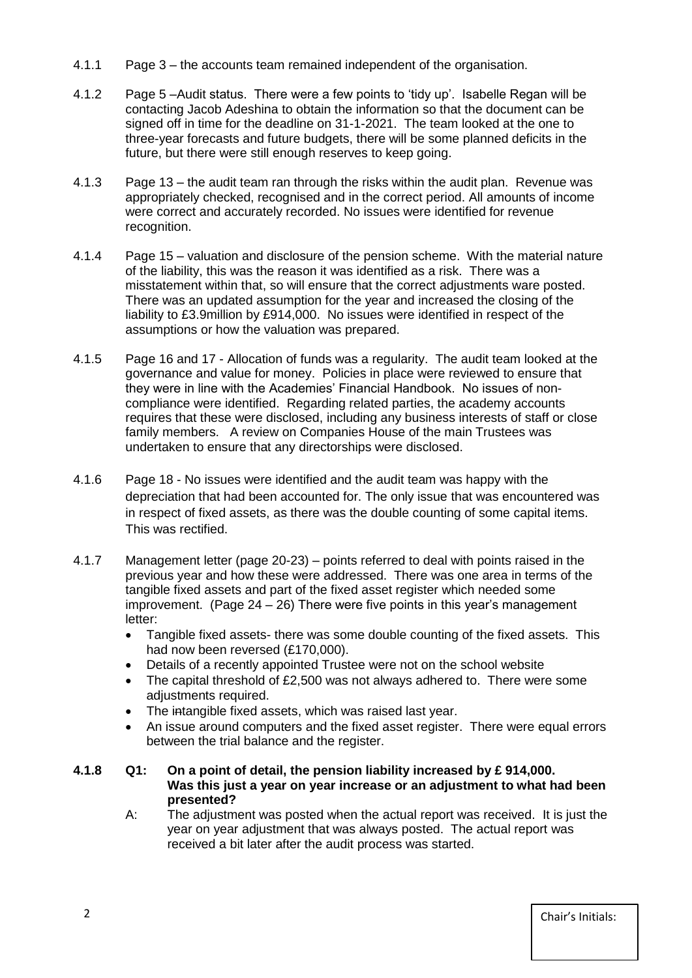- 4.1.1 Page 3 the accounts team remained independent of the organisation.
- 4.1.2 Page 5 –Audit status. There were a few points to 'tidy up'. Isabelle Regan will be contacting Jacob Adeshina to obtain the information so that the document can be signed off in time for the deadline on 31-1-2021. The team looked at the one to three-year forecasts and future budgets, there will be some planned deficits in the future, but there were still enough reserves to keep going.
- 4.1.3 Page 13 the audit team ran through the risks within the audit plan. Revenue was appropriately checked, recognised and in the correct period. All amounts of income were correct and accurately recorded. No issues were identified for revenue recognition.
- 4.1.4 Page 15 valuation and disclosure of the pension scheme. With the material nature of the liability, this was the reason it was identified as a risk. There was a misstatement within that, so will ensure that the correct adjustments ware posted. There was an updated assumption for the year and increased the closing of the liability to £3.9million by £914,000. No issues were identified in respect of the assumptions or how the valuation was prepared.
- 4.1.5 Page 16 and 17 Allocation of funds was a regularity. The audit team looked at the governance and value for money. Policies in place were reviewed to ensure that they were in line with the Academies' Financial Handbook. No issues of noncompliance were identified. Regarding related parties, the academy accounts requires that these were disclosed, including any business interests of staff or close family members. A review on Companies House of the main Trustees was undertaken to ensure that any directorships were disclosed.
- 4.1.6 Page 18 No issues were identified and the audit team was happy with the depreciation that had been accounted for. The only issue that was encountered was in respect of fixed assets, as there was the double counting of some capital items. This was rectified.
- 4.1.7 Management letter (page 20-23) points referred to deal with points raised in the previous year and how these were addressed. There was one area in terms of the tangible fixed assets and part of the fixed asset register which needed some improvement. (Page 24 – 26) There were five points in this year's management letter:
	- Tangible fixed assets- there was some double counting of the fixed assets. This had now been reversed (£170,000).
	- Details of a recently appointed Trustee were not on the school website
	- The capital threshold of £2,500 was not always adhered to. There were some adjustments required.
	- The intangible fixed assets, which was raised last year.
	- An issue around computers and the fixed asset register. There were equal errors between the trial balance and the register.
- **4.1.8 Q1: On a point of detail, the pension liability increased by £ 914,000. Was this just a year on year increase or an adjustment to what had been presented?**
	- A: The adjustment was posted when the actual report was received. It is just the year on year adjustment that was always posted. The actual report was received a bit later after the audit process was started.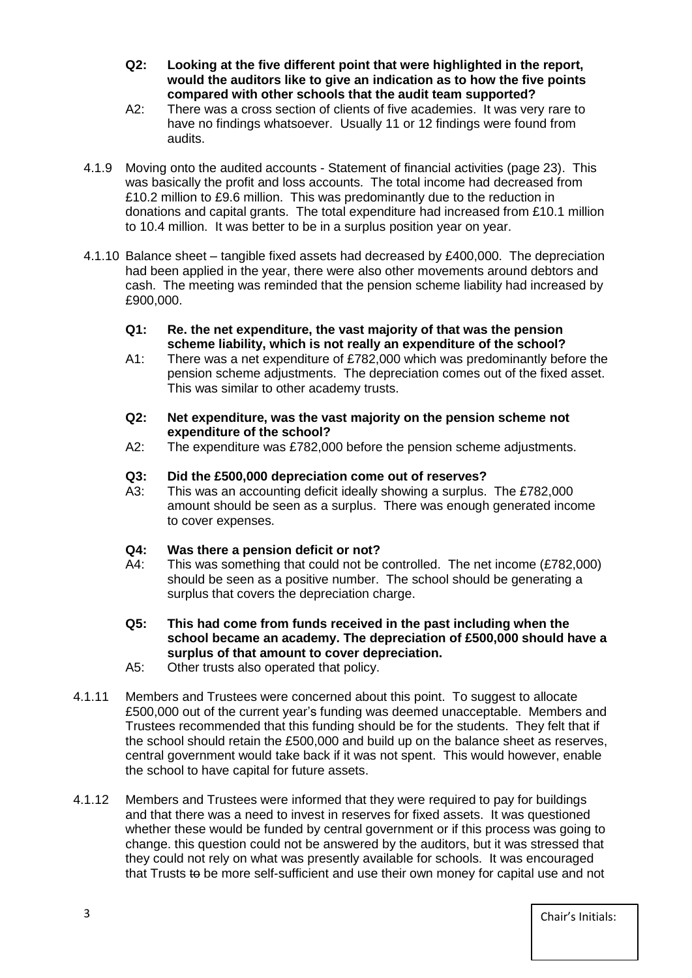- **Q2: Looking at the five different point that were highlighted in the report, would the auditors like to give an indication as to how the five points compared with other schools that the audit team supported?**
- A2: There was a cross section of clients of five academies. It was very rare to have no findings whatsoever. Usually 11 or 12 findings were found from audits.
- 4.1.9 Moving onto the audited accounts Statement of financial activities (page 23). This was basically the profit and loss accounts. The total income had decreased from £10.2 million to £9.6 million. This was predominantly due to the reduction in donations and capital grants. The total expenditure had increased from £10.1 million to 10.4 million. It was better to be in a surplus position year on year.
- 4.1.10 Balance sheet tangible fixed assets had decreased by £400,000. The depreciation had been applied in the year, there were also other movements around debtors and cash. The meeting was reminded that the pension scheme liability had increased by £900,000.
	- **Q1: Re. the net expenditure, the vast majority of that was the pension scheme liability, which is not really an expenditure of the school?**
	- A1: There was a net expenditure of £782,000 which was predominantly before the pension scheme adjustments. The depreciation comes out of the fixed asset. This was similar to other academy trusts.
	- **Q2: Net expenditure, was the vast majority on the pension scheme not expenditure of the school?**
	- A2: The expenditure was £782,000 before the pension scheme adjustments.
	- **Q3: Did the £500,000 depreciation come out of reserves?**
	- This was an accounting deficit ideally showing a surplus. The £782,000 amount should be seen as a surplus. There was enough generated income to cover expenses.
	- **Q4: Was there a pension deficit or not?**
	- A4: This was something that could not be controlled. The net income (£782,000) should be seen as a positive number. The school should be generating a surplus that covers the depreciation charge.
	- **Q5: This had come from funds received in the past including when the school became an academy. The depreciation of £500,000 should have a surplus of that amount to cover depreciation.**
	- A5: Other trusts also operated that policy.
- 4.1.11 Members and Trustees were concerned about this point. To suggest to allocate £500,000 out of the current year's funding was deemed unacceptable. Members and Trustees recommended that this funding should be for the students. They felt that if the school should retain the £500,000 and build up on the balance sheet as reserves, central government would take back if it was not spent. This would however, enable the school to have capital for future assets.
- 4.1.12 Members and Trustees were informed that they were required to pay for buildings and that there was a need to invest in reserves for fixed assets. It was questioned whether these would be funded by central government or if this process was going to change. this question could not be answered by the auditors, but it was stressed that they could not rely on what was presently available for schools. It was encouraged that Trusts to be more self-sufficient and use their own money for capital use and not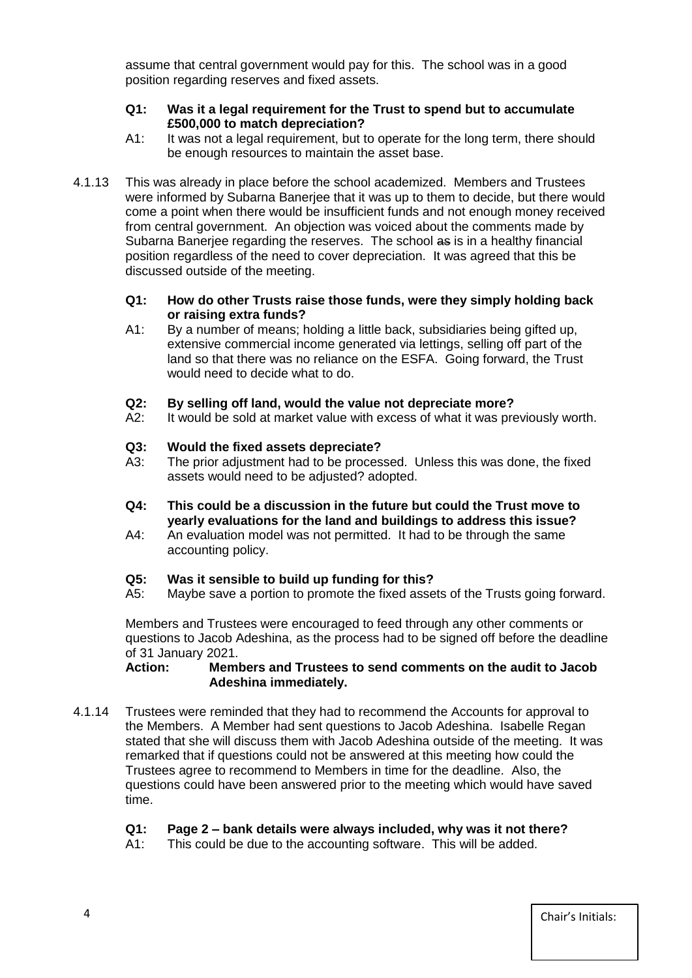assume that central government would pay for this. The school was in a good position regarding reserves and fixed assets.

## **Q1: Was it a legal requirement for the Trust to spend but to accumulate £500,000 to match depreciation?**

- A1: It was not a legal requirement, but to operate for the long term, there should be enough resources to maintain the asset base.
- 4.1.13 This was already in place before the school academized. Members and Trustees were informed by Subarna Banerjee that it was up to them to decide, but there would come a point when there would be insufficient funds and not enough money received from central government. An objection was voiced about the comments made by Subarna Banerjee regarding the reserves. The school as is in a healthy financial position regardless of the need to cover depreciation. It was agreed that this be discussed outside of the meeting.

## **Q1: How do other Trusts raise those funds, were they simply holding back or raising extra funds?**

A1: By a number of means; holding a little back, subsidiaries being gifted up, extensive commercial income generated via lettings, selling off part of the land so that there was no reliance on the ESFA. Going forward, the Trust would need to decide what to do.

# **Q2: By selling off land, would the value not depreciate more?**

A2: It would be sold at market value with excess of what it was previously worth.

## **Q3: Would the fixed assets depreciate?**

- A3: The prior adjustment had to be processed. Unless this was done, the fixed assets would need to be adjusted? adopted.
- **Q4: This could be a discussion in the future but could the Trust move to yearly evaluations for the land and buildings to address this issue?**
- A4: An evaluation model was not permitted. It had to be through the same accounting policy.

### **Q5: Was it sensible to build up funding for this?**

A5: Maybe save a portion to promote the fixed assets of the Trusts going forward.

Members and Trustees were encouraged to feed through any other comments or questions to Jacob Adeshina, as the process had to be signed off before the deadline of 31 January 2021.

## **Action: Members and Trustees to send comments on the audit to Jacob Adeshina immediately.**

4.1.14 Trustees were reminded that they had to recommend the Accounts for approval to the Members. A Member had sent questions to Jacob Adeshina. Isabelle Regan stated that she will discuss them with Jacob Adeshina outside of the meeting. It was remarked that if questions could not be answered at this meeting how could the Trustees agree to recommend to Members in time for the deadline. Also, the questions could have been answered prior to the meeting which would have saved time.

# **Q1: Page 2 – bank details were always included, why was it not there?**

A1: This could be due to the accounting software. This will be added.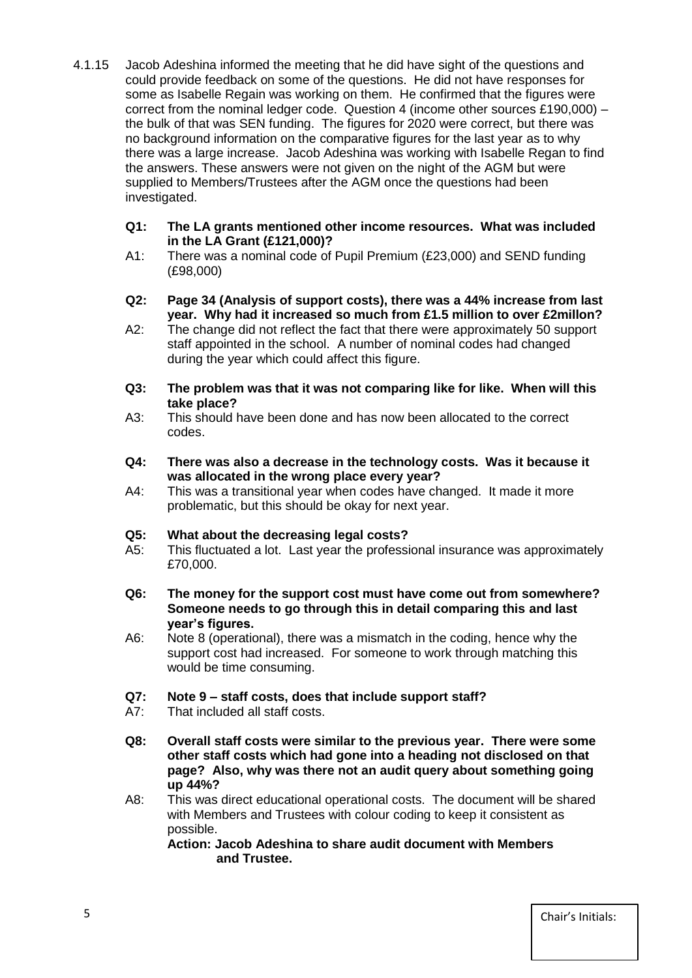4.1.15 Jacob Adeshina informed the meeting that he did have sight of the questions and could provide feedback on some of the questions. He did not have responses for some as Isabelle Regain was working on them. He confirmed that the figures were correct from the nominal ledger code. Question 4 (income other sources £190,000) – the bulk of that was SEN funding. The figures for 2020 were correct, but there was no background information on the comparative figures for the last year as to why there was a large increase. Jacob Adeshina was working with Isabelle Regan to find the answers. These answers were not given on the night of the AGM but were supplied to Members/Trustees after the AGM once the questions had been investigated.

### **Q1: The LA grants mentioned other income resources. What was included in the LA Grant (£121,000)?**

- A1: There was a nominal code of Pupil Premium (£23,000) and SEND funding (£98,000)
- **Q2: Page 34 (Analysis of support costs), there was a 44% increase from last year. Why had it increased so much from £1.5 million to over £2millon?**
- A2: The change did not reflect the fact that there were approximately 50 support staff appointed in the school. A number of nominal codes had changed during the year which could affect this figure.
- **Q3: The problem was that it was not comparing like for like. When will this take place?**
- A3: This should have been done and has now been allocated to the correct codes.
- **Q4: There was also a decrease in the technology costs. Was it because it was allocated in the wrong place every year?**
- A4: This was a transitional year when codes have changed. It made it more problematic, but this should be okay for next year.

# **Q5: What about the decreasing legal costs?**

- A5: This fluctuated a lot. Last year the professional insurance was approximately £70,000.
- **Q6: The money for the support cost must have come out from somewhere? Someone needs to go through this in detail comparing this and last year's figures.**
- A6: Note 8 (operational), there was a mismatch in the coding, hence why the support cost had increased. For someone to work through matching this would be time consuming.

# **Q7: Note 9 – staff costs, does that include support staff?**

- A7: That included all staff costs.
- **Q8: Overall staff costs were similar to the previous year. There were some other staff costs which had gone into a heading not disclosed on that page? Also, why was there not an audit query about something going up 44%?**
- A8: This was direct educational operational costs. The document will be shared with Members and Trustees with colour coding to keep it consistent as possible.

**Action: Jacob Adeshina to share audit document with Members and Trustee.**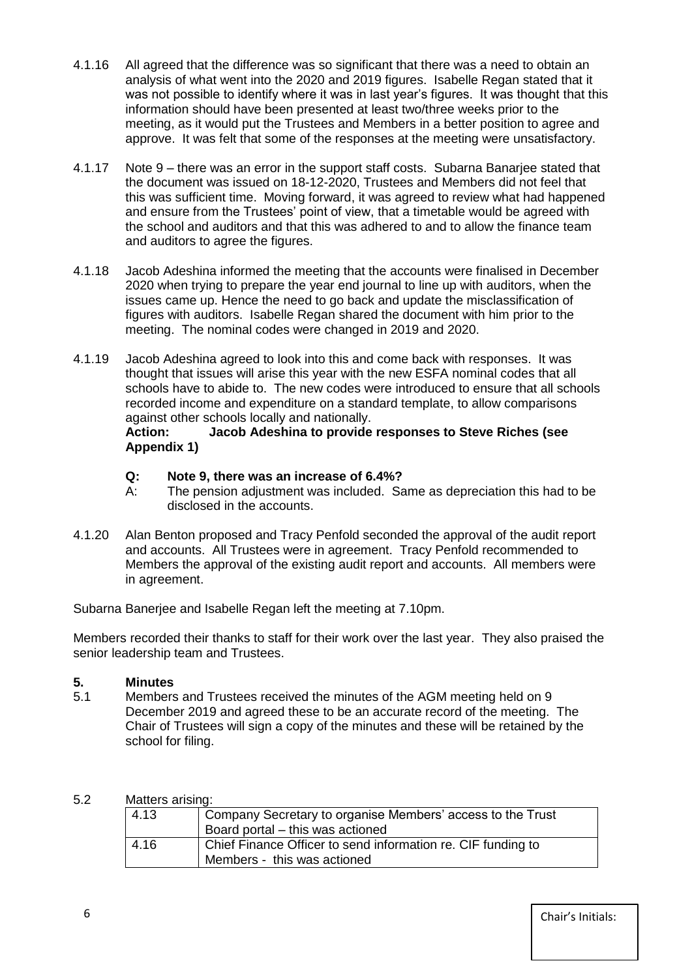- 4.1.16 All agreed that the difference was so significant that there was a need to obtain an analysis of what went into the 2020 and 2019 figures. Isabelle Regan stated that it was not possible to identify where it was in last year's figures. It was thought that this information should have been presented at least two/three weeks prior to the meeting, as it would put the Trustees and Members in a better position to agree and approve. It was felt that some of the responses at the meeting were unsatisfactory.
- 4.1.17 Note 9 there was an error in the support staff costs. Subarna Banarjee stated that the document was issued on 18-12-2020, Trustees and Members did not feel that this was sufficient time. Moving forward, it was agreed to review what had happened and ensure from the Trustees' point of view, that a timetable would be agreed with the school and auditors and that this was adhered to and to allow the finance team and auditors to agree the figures.
- 4.1.18 Jacob Adeshina informed the meeting that the accounts were finalised in December 2020 when trying to prepare the year end journal to line up with auditors, when the issues came up. Hence the need to go back and update the misclassification of figures with auditors. Isabelle Regan shared the document with him prior to the meeting. The nominal codes were changed in 2019 and 2020.
- 4.1.19 Jacob Adeshina agreed to look into this and come back with responses. It was thought that issues will arise this year with the new ESFA nominal codes that all schools have to abide to. The new codes were introduced to ensure that all schools recorded income and expenditure on a standard template, to allow comparisons against other schools locally and nationally.

## **Action: Jacob Adeshina to provide responses to Steve Riches (see Appendix 1)**

# **Q: Note 9, there was an increase of 6.4%?**

- A: The pension adjustment was included. Same as depreciation this had to be disclosed in the accounts.
- 4.1.20 Alan Benton proposed and Tracy Penfold seconded the approval of the audit report and accounts. All Trustees were in agreement. Tracy Penfold recommended to Members the approval of the existing audit report and accounts. All members were in agreement.

Subarna Banerjee and Isabelle Regan left the meeting at 7.10pm.

Members recorded their thanks to staff for their work over the last year. They also praised the senior leadership team and Trustees.

# **5. Minutes**

5.1 Members and Trustees received the minutes of the AGM meeting held on 9 December 2019 and agreed these to be an accurate record of the meeting. The Chair of Trustees will sign a copy of the minutes and these will be retained by the school for filing.

# 5.2 Matters arising:

| 4.13 | Company Secretary to organise Members' access to the Trust   |
|------|--------------------------------------------------------------|
|      | Board portal - this was actioned                             |
| 4.16 | Chief Finance Officer to send information re. CIF funding to |
|      | Members - this was actioned                                  |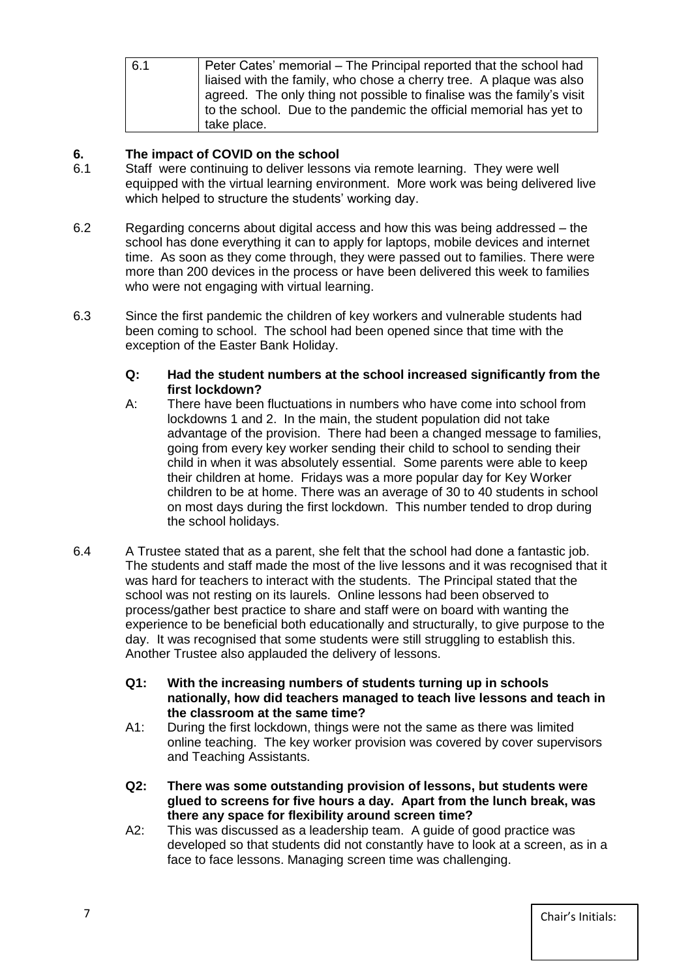| 6.1 | Peter Cates' memorial – The Principal reported that the school had     |
|-----|------------------------------------------------------------------------|
|     | liaised with the family, who chose a cherry tree. A plaque was also    |
|     | agreed. The only thing not possible to finalise was the family's visit |
|     | to the school. Due to the pandemic the official memorial has yet to    |
|     | take place.                                                            |

# **6. The impact of COVID on the school**

- 6.1 Staff were continuing to deliver lessons via remote learning. They were well equipped with the virtual learning environment. More work was being delivered live which helped to structure the students' working day.
- 6.2 Regarding concerns about digital access and how this was being addressed the school has done everything it can to apply for laptops, mobile devices and internet time. As soon as they come through, they were passed out to families. There were more than 200 devices in the process or have been delivered this week to families who were not engaging with virtual learning.
- 6.3 Since the first pandemic the children of key workers and vulnerable students had been coming to school. The school had been opened since that time with the exception of the Easter Bank Holiday.
	- **Q: Had the student numbers at the school increased significantly from the first lockdown?**
	- A: There have been fluctuations in numbers who have come into school from lockdowns 1 and 2. In the main, the student population did not take advantage of the provision. There had been a changed message to families, going from every key worker sending their child to school to sending their child in when it was absolutely essential. Some parents were able to keep their children at home. Fridays was a more popular day for Key Worker children to be at home. There was an average of 30 to 40 students in school on most days during the first lockdown. This number tended to drop during the school holidays.
- 6.4 A Trustee stated that as a parent, she felt that the school had done a fantastic job. The students and staff made the most of the live lessons and it was recognised that it was hard for teachers to interact with the students. The Principal stated that the school was not resting on its laurels. Online lessons had been observed to process/gather best practice to share and staff were on board with wanting the experience to be beneficial both educationally and structurally, to give purpose to the day. It was recognised that some students were still struggling to establish this. Another Trustee also applauded the delivery of lessons.
	- **Q1: With the increasing numbers of students turning up in schools nationally, how did teachers managed to teach live lessons and teach in the classroom at the same time?**
	- A1: During the first lockdown, things were not the same as there was limited online teaching. The key worker provision was covered by cover supervisors and Teaching Assistants.
	- **Q2: There was some outstanding provision of lessons, but students were glued to screens for five hours a day. Apart from the lunch break, was there any space for flexibility around screen time?**
	- A2: This was discussed as a leadership team. A guide of good practice was developed so that students did not constantly have to look at a screen, as in a face to face lessons. Managing screen time was challenging.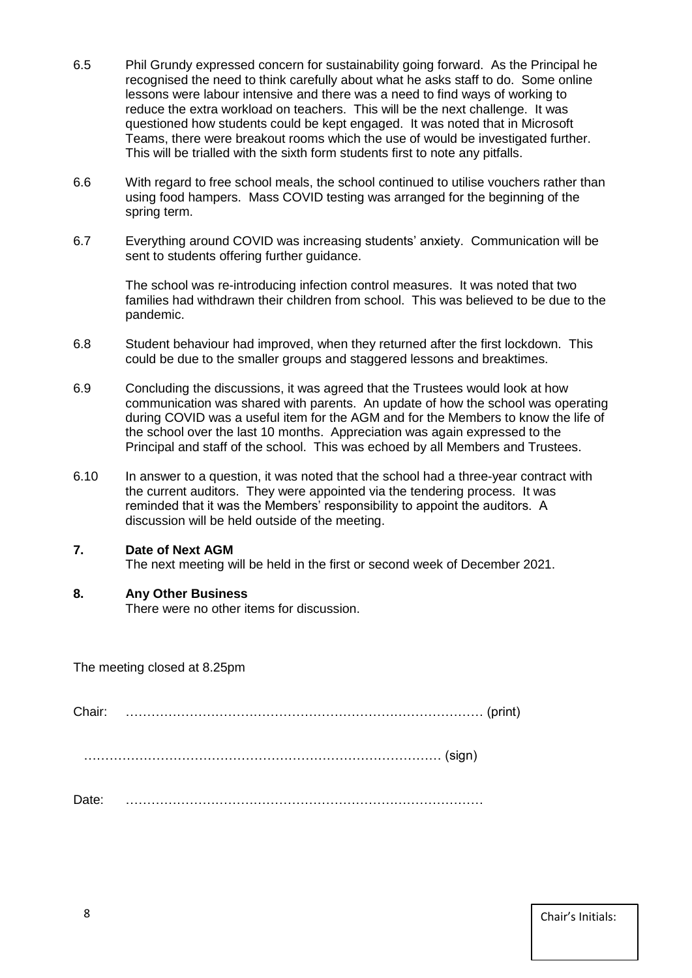- 6.5 Phil Grundy expressed concern for sustainability going forward. As the Principal he recognised the need to think carefully about what he asks staff to do. Some online lessons were labour intensive and there was a need to find ways of working to reduce the extra workload on teachers. This will be the next challenge. It was questioned how students could be kept engaged. It was noted that in Microsoft Teams, there were breakout rooms which the use of would be investigated further. This will be trialled with the sixth form students first to note any pitfalls.
- 6.6 With regard to free school meals, the school continued to utilise vouchers rather than using food hampers. Mass COVID testing was arranged for the beginning of the spring term.
- 6.7 Everything around COVID was increasing students' anxiety. Communication will be sent to students offering further guidance.

The school was re-introducing infection control measures. It was noted that two families had withdrawn their children from school. This was believed to be due to the pandemic.

- 6.8 Student behaviour had improved, when they returned after the first lockdown. This could be due to the smaller groups and staggered lessons and breaktimes.
- 6.9 Concluding the discussions, it was agreed that the Trustees would look at how communication was shared with parents. An update of how the school was operating during COVID was a useful item for the AGM and for the Members to know the life of the school over the last 10 months. Appreciation was again expressed to the Principal and staff of the school. This was echoed by all Members and Trustees.
- 6.10 In answer to a question, it was noted that the school had a three-year contract with the current auditors. They were appointed via the tendering process. It was reminded that it was the Members' responsibility to appoint the auditors. A discussion will be held outside of the meeting.

# **7. Date of Next AGM**

The next meeting will be held in the first or second week of December 2021.

# **8. Any Other Business**

There were no other items for discussion.

The meeting closed at 8.25pm

Chair: ………………………………………………………………………… (print)

………………………………………………………………………… (sign)

Date: …………………………………………………………………………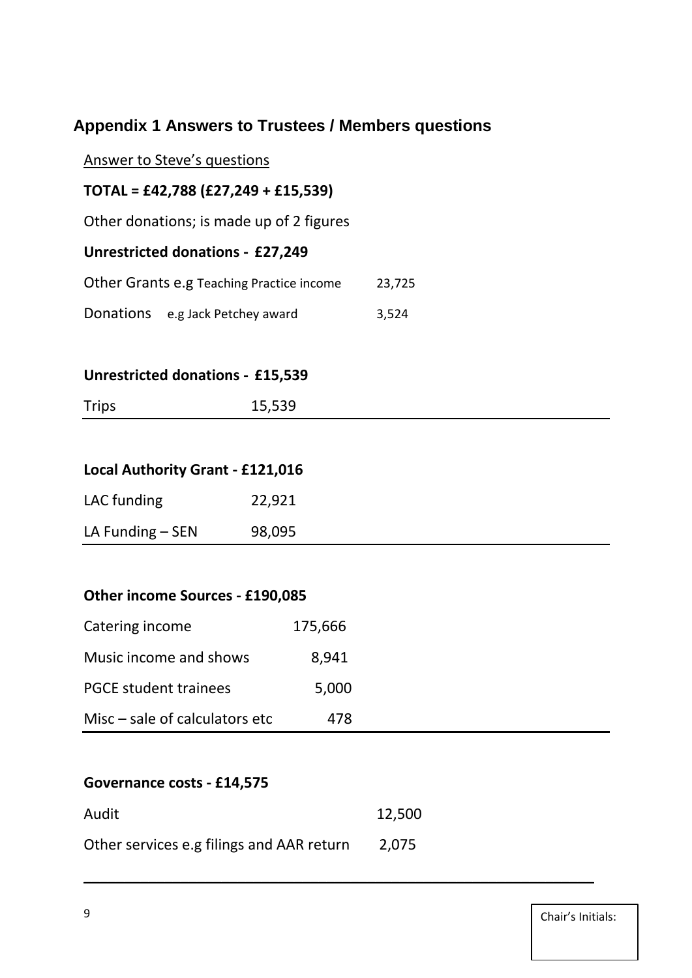# **Appendix 1 Answers to Trustees / Members questions**

# Answer to Steve's questions

# **TOTAL = £42,788 (£27,249 + £15,539)**

Other donations; is made up of 2 figures

# **Unrestricted donations - £27,249**

| Other Grants e.g Teaching Practice income |                                  | 23,725 |
|-------------------------------------------|----------------------------------|--------|
|                                           | Donations e.g Jack Petchey award | 3,524  |

# **Unrestricted donations - £15,539**

| <b>Trips</b> | 15,539 |
|--------------|--------|
|              |        |

# **Local Authority Grant - £121,016**

| LAC funding        | 22,921 |
|--------------------|--------|
| LA Funding $-$ SEN | 98,095 |

# **Other income Sources - £190,085**

| Catering income                  | 175,666 |
|----------------------------------|---------|
| Music income and shows           | 8,941   |
| <b>PGCE student trainees</b>     | 5,000   |
| Misc $-$ sale of calculators etc | 478     |

# **Governance costs - £14,575**

| Audit                                     | 12,500 |
|-------------------------------------------|--------|
| Other services e.g filings and AAR return | 2.075  |

\_\_\_\_\_\_\_\_\_\_\_\_\_\_\_\_\_\_\_\_\_\_\_\_\_\_\_\_\_\_\_\_\_\_\_\_\_\_\_\_\_\_\_\_\_\_\_\_\_\_\_\_\_\_\_\_\_\_\_\_\_\_\_